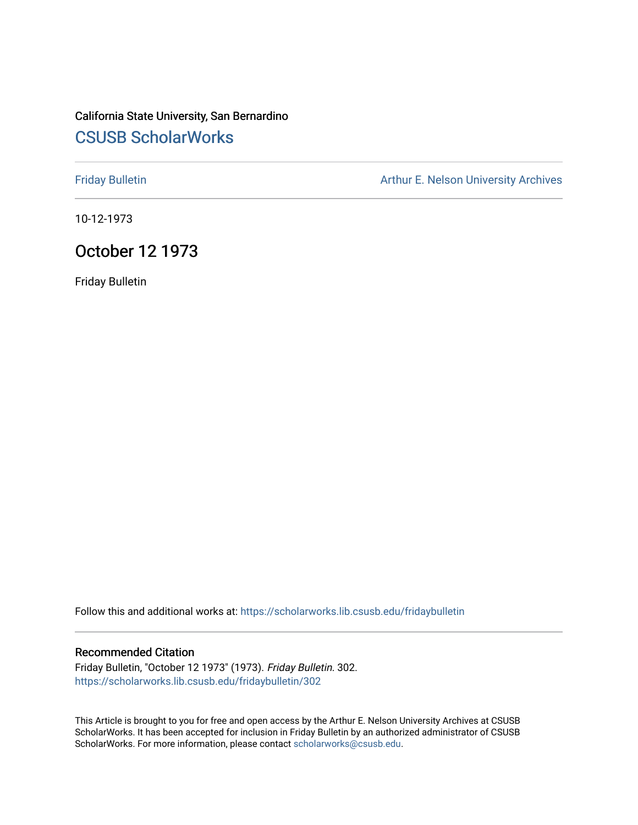# California State University, San Bernardino [CSUSB ScholarWorks](https://scholarworks.lib.csusb.edu/)

[Friday Bulletin](https://scholarworks.lib.csusb.edu/fridaybulletin) **Arthur E. Nelson University Archives** Arthur E. Nelson University Archives

10-12-1973

# October 12 1973

Friday Bulletin

Follow this and additional works at: [https://scholarworks.lib.csusb.edu/fridaybulletin](https://scholarworks.lib.csusb.edu/fridaybulletin?utm_source=scholarworks.lib.csusb.edu%2Ffridaybulletin%2F302&utm_medium=PDF&utm_campaign=PDFCoverPages)

### Recommended Citation

Friday Bulletin, "October 12 1973" (1973). Friday Bulletin. 302. [https://scholarworks.lib.csusb.edu/fridaybulletin/302](https://scholarworks.lib.csusb.edu/fridaybulletin/302?utm_source=scholarworks.lib.csusb.edu%2Ffridaybulletin%2F302&utm_medium=PDF&utm_campaign=PDFCoverPages)

This Article is brought to you for free and open access by the Arthur E. Nelson University Archives at CSUSB ScholarWorks. It has been accepted for inclusion in Friday Bulletin by an authorized administrator of CSUSB ScholarWorks. For more information, please contact [scholarworks@csusb.edu.](mailto:scholarworks@csusb.edu)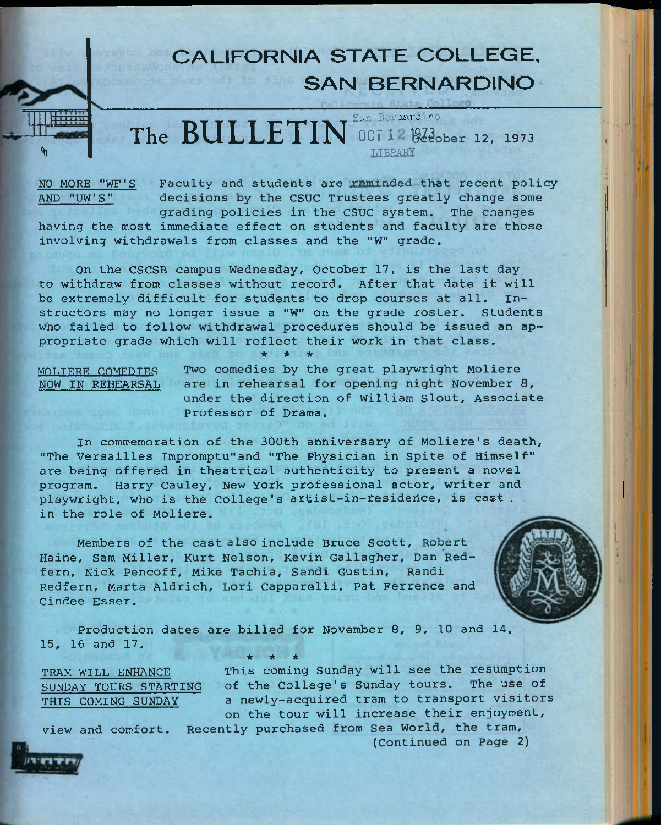# **CALIFORNIA STATE COLLEGE, SAN BERNARDINO**

San Beraardino **The BULLETIN OCT 12 92 dober 12, 1973 LIBEARY** 

**%** 

NO MORE "WF'S Faculty and students are reminded that recent policy AND "UW'S" decisions by the CSUC Trustees greatly change some grading policies in the CSUC system. The changes

having the most immediate effect on students and faculty are those involving withdrawals from classes and the "W" grade.

On the CSCSB campus Wednesday, October 17, is the last day to withdraw from classes without record. After that date it will be extremely difficult for students to drop courses at all. Instructors may no longer issue a "W" on the grade roster. Students who failed to follow withdrawal procedures should be issued an appropriate grade which will reflect their work in that class.

*ie \* \** 

MOLIERE COMEDIES Two comedies by the great playwright Moliere NOW IN REHEARSAL are in rehearsal for opening night November 8, under the direction of William Slout, Associate Professor of Drama.

In commemoration of the 300th anniversary of Moliere's death, "The Versailles Impromptu"and "The Physician in Spite of Himself" are being offered in theatrical authenticity to present a novel program. Harry Cauley, New York professional actor, writer and playwright, who is the College's artist-in-residence, is cast. in the role of Moliere.

Members of the cast also include Bruce Scott, Robert Haine, Sam Miller, Kurt Nelson, Kevin Gallagher, Dan Redfern, Nick Pencoff, Mike Tachia, Sandi Gustin, Randi Redfern, Marta Aldrich, Lori Capparelli, Pat Ferrence and Cindee Esser.



Production dates are billed for November 8, 9, 10 and 14, 16 and 17, 15, *•k \* \** 

TRAM WILL ENHANCE SUNDAY TOURS STARTING THIS COMING SUNDAY

This coming Sunday will see the resumption of the College's Sunday tours. The use of a newly-acquired tram to transport visitors on the tour will increase their enjoyment.

view and comfort. Recently purchased from Sea World, the tram, (Continued on Page 2)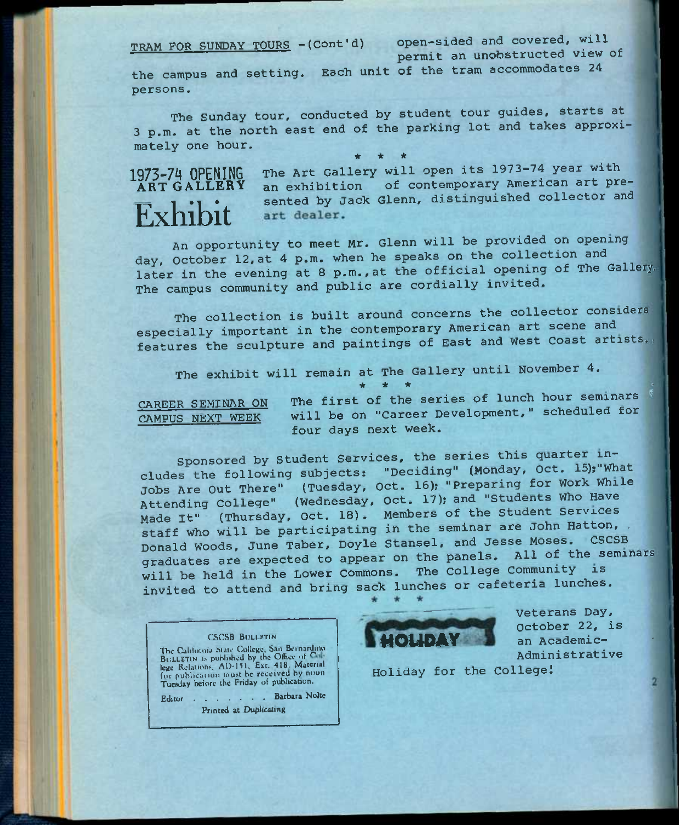TRAM FOR SUNDAY TOURS -(Cont'd) **Open-sided and covered,** will **permit an unobstructed view** of

the campus and setting. Each unit of the tram accommodates 24 **persons.** 

The Sunday tour, conducted by student tour guides, starts at 3 p.m. at the north east end of the parking lot and takes approximately one hour. \* \* \*

# Exhibit

**1973-7^ OPENING** The Art Gallery will open its 1973-74 year with 1973-74 OPENING The Art Gallery will open its 1973-74 year with<br>ART GALLERY an exhibition of contemporary American art presented by Jack Glenn, distinguished collector and art dealer.

An opportunity to meet Mr. Glenn will be provided on opening day, October 12,at 4 p.m. when he speaks on the collection and later in the evening at 8 p.m., at the official opening of The Gallery. The campus community and public are cordially invited.

The collection is built around concerns the collector considers especially important in the contemporary American art scene and features the sculpture and paintings of East and West Coast artists..

The exhibit will remain at The Gallery until November 4.

CAREER SEMINAR ON The first of the series of lunch hour seminars ^ CAREER SEMINAR ON The first of the series of funch not seminars<br>CAMPUS NEXT WEEK will be on "Career Development," scheduled for four days next week.

**\* \* \* •** 

Sponsored by Student Services, the series this quarter includes the following subjects: "Deciding" (Monday, Oct. 15); What jobs Are Out There" (Tuesday, Oct. 16); "Preparing for Work While Attending College" (Wednesday, Oct. 17); and "Students Who Have Made It" (Thursday, Oct. 18). Members of the Student Services staff who will be participating in the seminar are John Hatton, . Donald Woods, June Taber, Doyle Stansel, and Jesse Moses. CSCSB graduates are expected to appear on the panels. All of the seminars will be held in the Lower Commons. The College Community is invited to attend and bring sack lunches or cafeteria lunches.

# CSCSB BULLETIN The California State College, San Bernardino.

BULLETIN is published by the Office of <sup>Co</sup>lle<br>lege Relations, AD-151, Ext. 418, Material for publication must be received by noon Tuesday before the Friday of publication.

Editor . . . . . . Barbara Nolte Printed at Duplicating



Veterans Day, October 22, is an Academic-Administrative

Holiday for the Collegel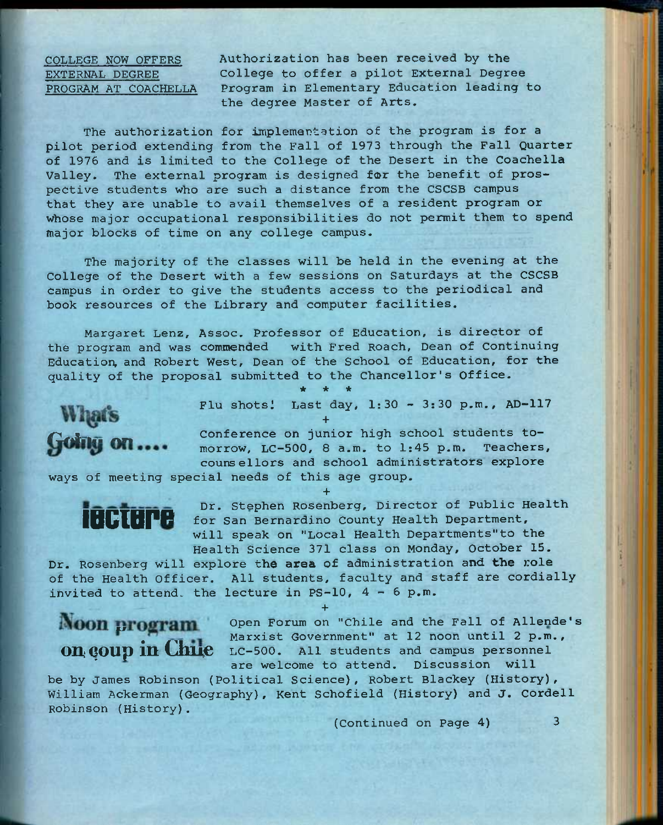COLLEGE NOW OFFERS Authorization has been received by the EXTERNAL DEGREE College to offer a pilot External Degree PROGRAM AT COACHELLA Program in Elementary Education leading to the degree Master of Arts.

The authorization for implementation of the program is for a pilot period extending from the Fall of 1973 through the Fall Quarter of 1976 and is limited to the College of the Desert in the Coachella Valley. The external program is designed for the benefit of prospective students who are such a distance from the CSCSB campus that they are unable to avail themselves of a resident program or whose major occupational responsibilities do not permit them to spend major blocks of time on any college campus.

The majority of the classes will be held in the evening at the College of the Desert with a few sessions on Saturdays at the CSCSB campus in order to give the students access to the periodical and book resources of the Library and computer facilities.

Margaret Lenz, Assoc. Professor of Education, is director of the program and was commended with Fred Roach, Dean of Continuing Education, and Robert West, Dean of the School of Education, for the quality of the proposal submitted to the Chancellor's Office.

*\* \* \** 

**+** 

Flu shotsi Last day, 1:30 - 3:30 p.m., AD-117

What's<br>
Conference on junior high school students to-<br>
Going on .... morrow. LC-500, 8 a.m. to 1:45 p.m. Teachers, morrow, LC-500, 8 a.m. to  $l:45$  p.m. counsellors and school administrators explore

ways of meeting special needs of this age group.

**+**  Dr. Stephen Rosenberg, Director of Public Health **LIGIOR** for San Bernardino County Health Department, will speak on "Local Health Departments"to the Health Science 371 class on Monday, October 15.

Dr. Rosenberg will explore **the area** of administration and **the** role of the Health Officer. All students, faculty and staff are cordially invited to attend, the lecture in PS-10,  $4 - 6$  p.m.

**+** 

Open Forum on "Chile and the Fall of Allende's **DPOGTAIN** Open Forum on "Chile and the Fall of Allende"<br>Marxist Government" at 12 noon until 2 p.m., **on; goup in Chile** LC-500. All students and campus personnel are welcome to attend. Discussion will

be by James Robinson (Political Science), Robert Blackey (History), William Ackerman (Geography), Kent Schofield (History) and J, Cordell Robinson (History).

(Continued on Page 4) 3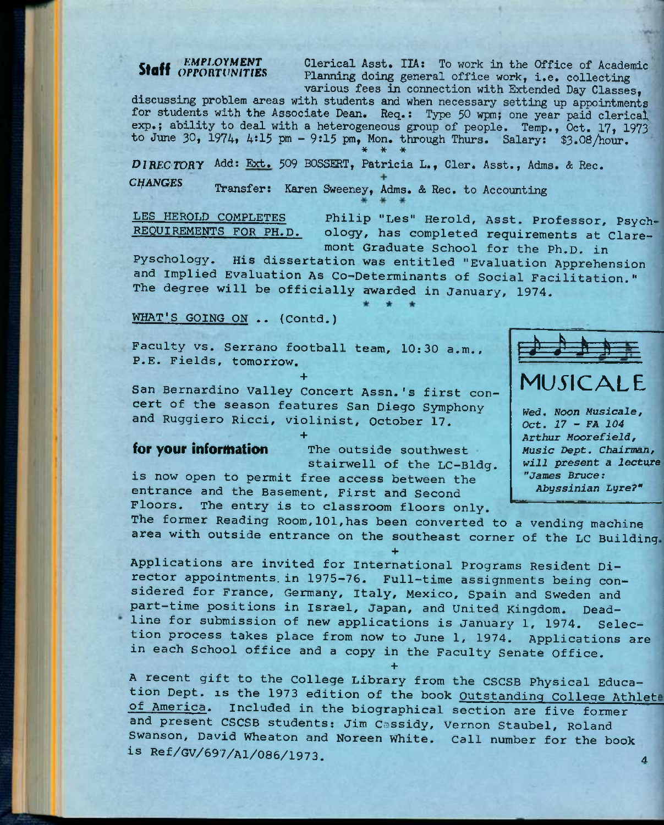Staff CMPLOYMENT Clerical Asst. IIA: To work in the Office of Academic<br>Planning doing general office work, i.e. collecting Planning doing general office work, i.e. collecting various fees in connection with Extended Day Classes,

discussing problem areas with students and when necessary setting up appointments for students with the Associate Dean. Req.: Type 50 wpm; one year paid clerical exp.; ability to deal with a heterogeneous group of people. Temp., Oct. 17, 1973 to June 30, 1974, 4:15 pm - 9:15 pm, Mon. through Thurs. Salary:  $$3.08/hour.$ **\* \* \*** 

*OlRECTORy* Add: Ext. 509 BOSSERT, Patricia L., Cler. Asst., Adms. & Rec. *CtfANGES* Transfer: Karen Sweeney, Adms. & Rec. to Accounting

LES HEROLD COMPLETES Philip "Les" Herold, Asst. Professor, Psych-<br>REQUIREMENTS FOR PH.D. ology, has completed requirements at Clareology, has completed requirements at Claremont Graduate School for the Ph.D. in

Pyschology. His dissertation was entitled "Evaluation Apprehension and Implied Evaluation As Co-Determinants of Social Facilitation." The degree will be officially awarded in January, 1974.

WHAT'S GOING ON .. (Contd.)

Faculty vs. Serrano football team, 10:30 a.m., P.E. Fields, tomorrow.

**+** 

San Bernardino Valley Concert Assn.'s first concert of the season features San Diego Symphony and Ruggiero Ricci, violinist, October 17.

**+**  for your information The outside southwest stairwell of the LC-Bldg. is now open to permit free access between the entrance and the Basement, First and Second Floors. The entry is to classroom floors only.



# $M\Gamma$  $\Gamma$  $\Delta$  $\Gamma$

*Wed, Noon Musicals, Oct. 17 - FA 104 Arthur Moorefield, Music Dept. Chairman, will present a lecture "James Bruce: Abyssinian Lyre?"* 

The former Reading Room,101,has been converted to a vending machine area with outside entrance on the southeast corner of the LC Building

**+**  Applications are invited for international Programs Resident Director appointments, in 1975—76. Full-time assignments being considered for France, Germany, Italy, Mexico, Spain and Sweden and part-time positions in Israel, Japan, and United Kingdom. Deadline for submission of new applications is January 1, 1974. Selection process takes place from now to June 1, 1974. Applications are in each School office and a copy in the Faculty Senate Office.

A recent gift to the College Library from the CSCSB Physical Education Dept. is the 1973 edition of the book Outstanding College Athlete of America. Included in the biographical section are five former and present CSCSB students: Jim Cassidy, Vernon Staubel, Roland Swanson, David Wheaton and Noreen White. call number for the book is **Ref/GV/697**/Al**/086/1973. ^** 

**+**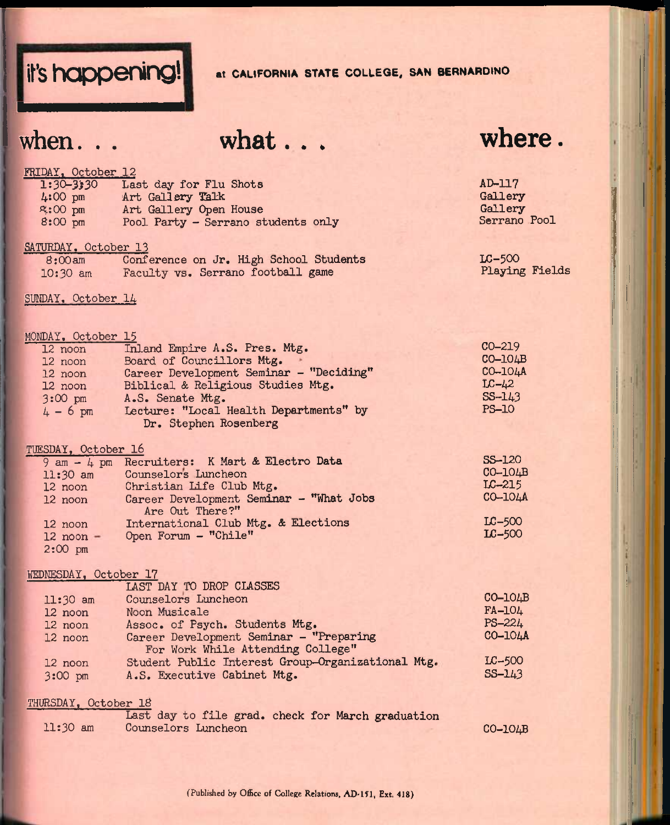# **it's happening!** at CALIFORNIA STATE COLLEGE, SAN BERNARDINO

# when... what... where.

AD-117 **Gallery Gallery** Serrano Pool

# FRIDAY, October 12

| $1:30 - 3:30$     | Last day for Flu Shots             |
|-------------------|------------------------------------|
| $4:00$ pm         | Art Gallery Talk                   |
| $x:00$ pm         | Art Gallery Open House             |
| $8:00 \text{ pm}$ | Pool Party - Serrano students only |

### SATURDAY, October 13

| 8:00am     | Conference on Jr. High School Students | $LC-500$       |
|------------|----------------------------------------|----------------|
| $10:30$ am | Faculty vs. Serrano football game      | Playing Fields |

# SUNDAY, October 14

# MONDAY, October 15

| MDAI. ACTOMAI TA |                                         |              |
|------------------|-----------------------------------------|--------------|
| 12 noon          | Inland Empire A.S. Pres. Mtg.           | $CO-219$     |
| 12 noon          | Board of Councillors Mtg.               | $CO-104B$    |
| 12 noon          | Career Development Seminar - "Deciding" | CO-104A      |
| 12 noon          | Biblical & Religious Studies Mtg.       | $LC-\mu2$    |
| $3:00$ pm        | A.S. Senate Mtg.                        | $S S - 143$  |
| $4 - 6$ pm       | Lecture: "Local Health Departments" by  | <b>PS-10</b> |
|                  | Dr. Stephen Rosenberg                   |              |

# TUESDAY, October l6

| AND THE ACADEMY TO |                                               |               |
|--------------------|-----------------------------------------------|---------------|
|                    | 9 am - 4 pm Recruiters: K Mart & Electro Data | <b>SS-120</b> |
| $11:30$ am         | Counselors Luncheon                           | $CO-104B$     |
| 12 noon            | Christian Life Club Mtg.                      | $LC-215$      |
| 12 noon            | Career Development Seminar - "What Jobs       | CO-104A       |
|                    | Are Out There?"                               |               |
| 12 noon            | International Club Mtg. & Elections           | $LC-500$      |
| $12$ noon $-$      | Open Forum - "Chile"                          | $LC-500$      |
| $2:00 \text{ pm}$  |                                               |               |
|                    |                                               |               |

### WEDNESDAY, October 17

|                                                   | $CO-10$    |
|---------------------------------------------------|------------|
|                                                   | FA-104     |
|                                                   | $PS - 224$ |
|                                                   | CO-104A    |
|                                                   |            |
|                                                   | $LC-500$   |
|                                                   | $SS - 143$ |
| Student Public Interest Group-Organizational Mtg. |            |

## THURSDAY, October 18

|            | Last day to file grad. check for March graduation |           |
|------------|---------------------------------------------------|-----------|
| $11:30$ am | Counselors Luncheon                               | $CO-104B$ |